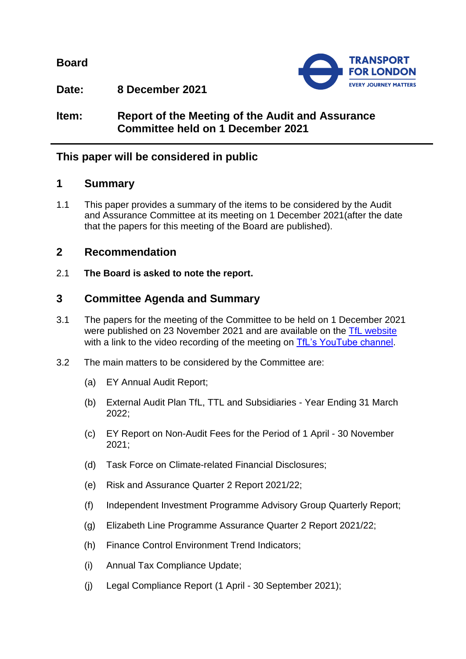**Board**



**Date: 8 December 2021**

**Item: Report of the Meeting of the Audit and Assurance Committee held on 1 December 2021**

# **This paper will be considered in public**

# **1 Summary**

1.1 This paper provides a summary of the items to be considered by the Audit and Assurance Committee at its meeting on 1 December 2021(after the date that the papers for this meeting of the Board are published).

# **2 Recommendation**

2.1 **The Board is asked to note the report.**

# **3 Committee Agenda and Summary**

- 3.1 The papers for the meeting of the Committee to be held on 1 December 2021 were published on 23 November 2021 and are available on the [TfL website](https://board.tfl.gov.uk/uuCoverPage.aspx?bcr=1) with a link to the video recording of the meeting on [TfL's YouTube channel.](https://www.youtube.com/playlist?list=PLtnlusA0Zoggk4qvN68OcnD9k_7B8cY_d)
- 3.2 The main matters to be considered by the Committee are:
	- (a) EY Annual Audit Report;
	- (b) External Audit Plan TfL, TTL and Subsidiaries Year Ending 31 March 2022;
	- (c) EY Report on Non-Audit Fees for the Period of 1 April 30 November 2021;
	- (d) Task Force on Climate-related Financial Disclosures;
	- (e) Risk and Assurance Quarter 2 Report 2021/22;
	- (f) Independent Investment Programme Advisory Group Quarterly Report;
	- (g) Elizabeth Line Programme Assurance Quarter 2 Report 2021/22;
	- (h) Finance Control Environment Trend Indicators;
	- (i) Annual Tax Compliance Update;
	- (j) Legal Compliance Report (1 April 30 September 2021);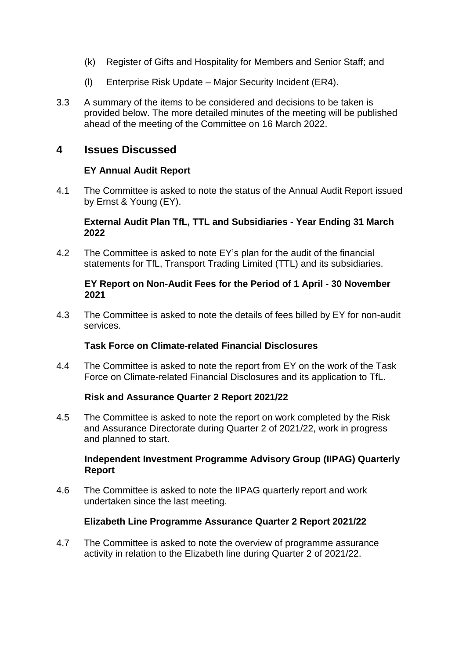- (k) Register of Gifts and Hospitality for Members and Senior Staff; and
- (l) Enterprise Risk Update Major Security Incident (ER4).
- 3.3 A summary of the items to be considered and decisions to be taken is provided below. The more detailed minutes of the meeting will be published ahead of the meeting of the Committee on 16 March 2022.

# **4 Issues Discussed**

### **EY Annual Audit Report**

4.1 The Committee is asked to note the status of the Annual Audit Report issued by Ernst & Young (EY).

#### **External Audit Plan TfL, TTL and Subsidiaries - Year Ending 31 March 2022**

4.2 The Committee is asked to note EY's plan for the audit of the financial statements for TfL, Transport Trading Limited (TTL) and its subsidiaries.

### **EY Report on Non-Audit Fees for the Period of 1 April - 30 November 2021**

4.3 The Committee is asked to note the details of fees billed by EY for non-audit services.

## **Task Force on Climate-related Financial Disclosures**

4.4 The Committee is asked to note the report from EY on the work of the Task Force on Climate-related Financial Disclosures and its application to TfL.

## **Risk and Assurance Quarter 2 Report 2021/22**

4.5 The Committee is asked to note the report on work completed by the Risk and Assurance Directorate during Quarter 2 of 2021/22, work in progress and planned to start.

### **Independent Investment Programme Advisory Group (IIPAG) Quarterly Report**

4.6 The Committee is asked to note the IIPAG quarterly report and work undertaken since the last meeting.

#### **Elizabeth Line Programme Assurance Quarter 2 Report 2021/22**

4.7 The Committee is asked to note the overview of programme assurance activity in relation to the Elizabeth line during Quarter 2 of 2021/22.